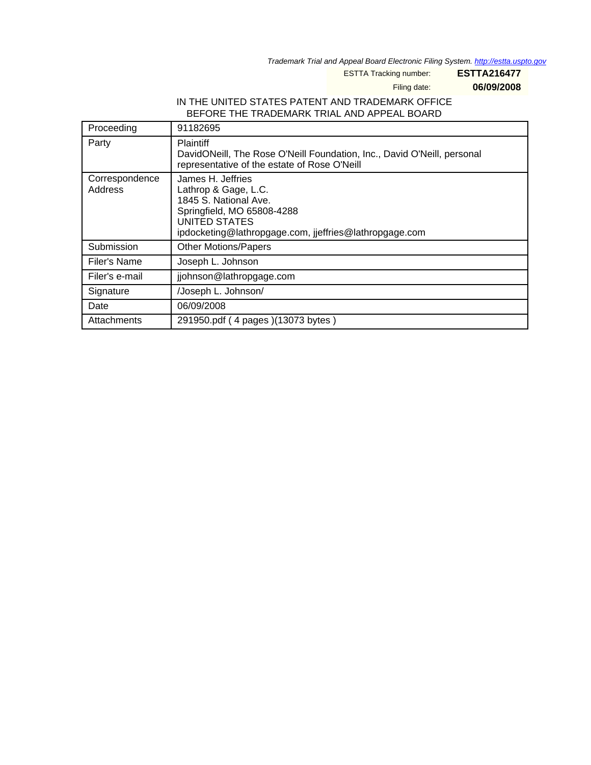Trademark Trial and Appeal Board Electronic Filing System. <http://estta.uspto.gov>

ESTTA Tracking number: **ESTTA216477**

Filing date: **06/09/2008**

# IN THE UNITED STATES PATENT AND TRADEMARK OFFICE BEFORE THE TRADEMARK TRIAL AND APPEAL BOARD

| Proceeding                | 91182695                                                                                                                                                                    |
|---------------------------|-----------------------------------------------------------------------------------------------------------------------------------------------------------------------------|
| Party                     | <b>Plaintiff</b><br>DavidONeill, The Rose O'Neill Foundation, Inc., David O'Neill, personal<br>representative of the estate of Rose O'Neill                                 |
| Correspondence<br>Address | James H. Jeffries<br>Lathrop & Gage, L.C.<br>1845 S. National Ave.<br>Springfield, MO 65808-4288<br>UNITED STATES<br>ipdocketing@lathropgage.com, jjeffries@lathropgage.com |
| Submission                | <b>Other Motions/Papers</b>                                                                                                                                                 |
| Filer's Name              | Joseph L. Johnson                                                                                                                                                           |
| Filer's e-mail            | jjohnson@lathropgage.com                                                                                                                                                    |
| Signature                 | /Joseph L. Johnson/                                                                                                                                                         |
| Date                      | 06/09/2008                                                                                                                                                                  |
| Attachments               | 291950.pdf (4 pages) (13073 bytes)                                                                                                                                          |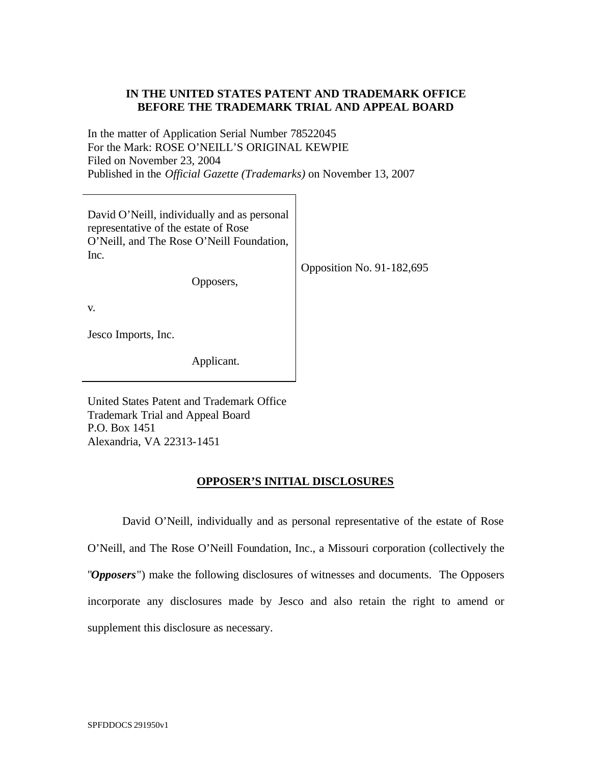# **IN THE UNITED STATES PATENT AND TRADEMARK OFFICE BEFORE THE TRADEMARK TRIAL AND APPEAL BOARD**

In the matter of Application Serial Number 78522045 For the Mark: ROSE O'NEILL'S ORIGINAL KEWPIE Filed on November 23, 2004 Published in the *Official Gazette (Trademarks)* on November 13, 2007

| David O'Neill, individually and as personal<br>representative of the estate of Rose<br>O'Neill, and The Rose O'Neill Foundation,<br>Inc.<br>Opposers, | Opposition No. 91-182,695 |
|-------------------------------------------------------------------------------------------------------------------------------------------------------|---------------------------|
| V.                                                                                                                                                    |                           |
| Jesco Imports, Inc.                                                                                                                                   |                           |
| Applicant.                                                                                                                                            |                           |

United States Patent and Trademark Office Trademark Trial and Appeal Board P.O. Box 1451 Alexandria, VA 22313-1451

### **OPPOSER'S INITIAL DISCLOSURES**

David O'Neill, individually and as personal representative of the estate of Rose O'Neill, and The Rose O'Neill Foundation, Inc., a Missouri corporation (collectively the "*Opposers*") make the following disclosures of witnesses and documents. The Opposers incorporate any disclosures made by Jesco and also retain the right to amend or supplement this disclosure as necessary.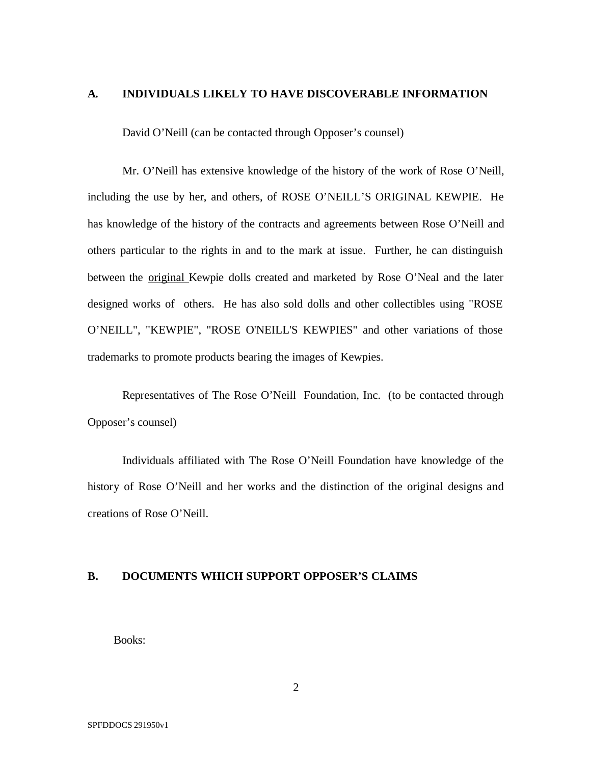#### **A. INDIVIDUALS LIKELY TO HAVE DISCOVERABLE INFORMATION**

David O'Neill (can be contacted through Opposer's counsel)

Mr. O'Neill has extensive knowledge of the history of the work of Rose O'Neill, including the use by her, and others, of ROSE O'NEILL'S ORIGINAL KEWPIE. He has knowledge of the history of the contracts and agreements between Rose O'Neill and others particular to the rights in and to the mark at issue. Further, he can distinguish between the original Kewpie dolls created and marketed by Rose O'Neal and the later designed works of others. He has also sold dolls and other collectibles using "ROSE O'NEILL", "KEWPIE", "ROSE O'NEILL'S KEWPIES" and other variations of those trademarks to promote products bearing the images of Kewpies.

Representatives of The Rose O'Neill Foundation, Inc. (to be contacted through Opposer's counsel)

Individuals affiliated with The Rose O'Neill Foundation have knowledge of the history of Rose O'Neill and her works and the distinction of the original designs and creations of Rose O'Neill.

## **B. DOCUMENTS WHICH SUPPORT OPPOSER'S CLAIMS**

Books: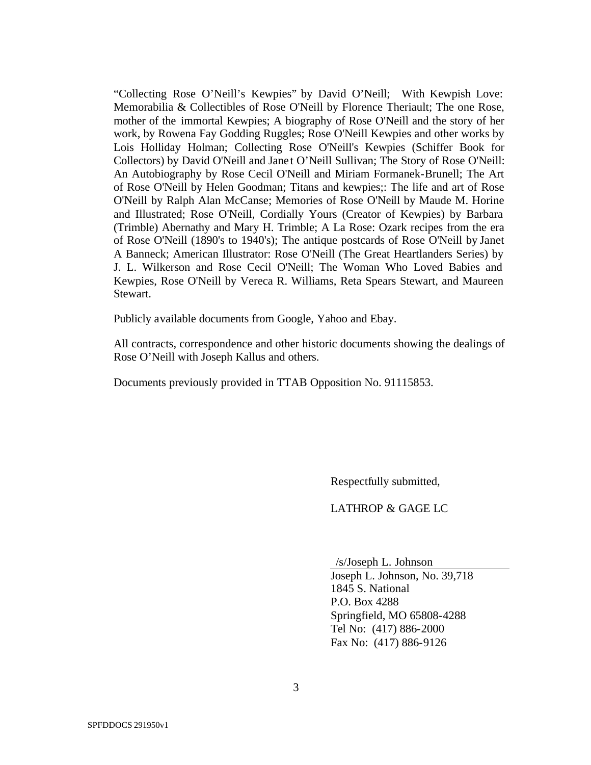"Collecting Rose O'Neill's Kewpies" by David O'Neill; With Kewpish Love: Memorabilia & Collectibles of Rose O'Neill by Florence Theriault; The one Rose, mother of the immortal Kewpies; A biography of Rose O'Neill and the story of her work, by Rowena Fay Godding Ruggles; Rose O'Neill Kewpies and other works by Lois Holliday Holman; Collecting Rose O'Neill's Kewpies (Schiffer Book for Collectors) by David O'Neill and Jane t O'Neill Sullivan; The Story of Rose O'Neill: An Autobiography by Rose Cecil O'Neill and Miriam Formanek-Brunell; The Art of Rose O'Neill by Helen Goodman; Titans and kewpies;: The life and art of Rose O'Neill by Ralph Alan McCanse; Memories of Rose O'Neill by Maude M. Horine and Illustrated; Rose O'Neill, Cordially Yours (Creator of Kewpies) by Barbara (Trimble) Abernathy and Mary H. Trimble; A La Rose: Ozark recipes from the era of Rose O'Neill (1890's to 1940's); The antique postcards of Rose O'Neill by Janet A Banneck; American Illustrator: Rose O'Neill (The Great Heartlanders Series) by J. L. Wilkerson and Rose Cecil O'Neill; The Woman Who Loved Babies and Kewpies, Rose O'Neill by Vereca R. Williams, Reta Spears Stewart, and Maureen Stewart.

Publicly available documents from Google, Yahoo and Ebay.

All contracts, correspondence and other historic documents showing the dealings of Rose O'Neill with Joseph Kallus and others.

Documents previously provided in TTAB Opposition No. 91115853.

Respectfully submitted,

LATHROP & GAGE LC

/s/Joseph L. Johnson

 Joseph L. Johnson, No. 39,718 1845 S. National P.O. Box 4288 Springfield, MO 65808-4288 Tel No: (417) 886-2000 Fax No: (417) 886-9126